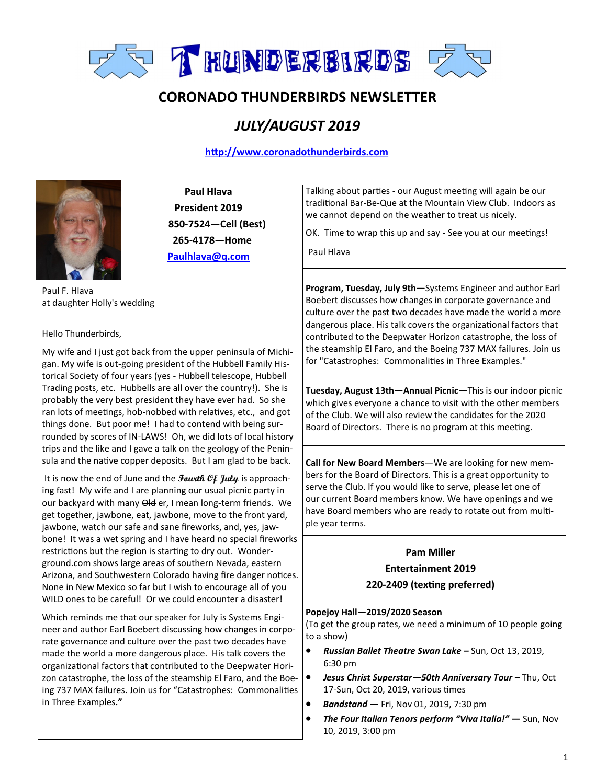

# **CORONADO THUNDERBIRDS NEWSLETTER**

## *JULY/AUGUST 2019*

 **<http://www.coronadothunderbirds.com>**



**Paul Hlava President 2019 850-7524—Cell (Best) 265-4178—Home Paulhlava@q.com**

Paul F. Hlava at daughter Holly's wedding

Hello Thunderbirds,

My wife and I just got back from the upper peninsula of Michigan. My wife is out-going president of the Hubbell Family Historical Society of four years (yes - Hubbell telescope, Hubbell Trading posts, etc. Hubbells are all over the country!). She is probably the very best president they have ever had. So she ran lots of meetings, hob-nobbed with relatives, etc., and got things done. But poor me! I had to contend with being surrounded by scores of IN-LAWS! Oh, we did lots of local history trips and the like and I gave a talk on the geology of the Peninsula and the native copper deposits. But I am glad to be back.

It is now the end of June and the **Fourth Of July** is approaching fast! My wife and I are planning our usual picnic party in our backyard with many Old er, I mean long-term friends. We get together, jawbone, eat, jawbone, move to the front yard, jawbone, watch our safe and sane fireworks, and, yes, jawbone! It was a wet spring and I have heard no special fireworks restrictions but the region is starting to dry out. Wonderground.com shows large areas of southern Nevada, eastern Arizona, and Southwestern Colorado having fire danger notices. None in New Mexico so far but I wish to encourage all of you WILD ones to be careful! Or we could encounter a disaster!

Which reminds me that our speaker for July is Systems Engineer and author Earl Boebert discussing how changes in corporate governance and culture over the past two decades have made the world a more dangerous place. His talk covers the organizational factors that contributed to the Deepwater Horizon catastrophe, the loss of the steamship El Faro, and the Boeing 737 MAX failures. Join us for "Catastrophes: Commonalities in Three Examples**."**

Talking about parties - our August meeting will again be our traditional Bar-Be-Que at the Mountain View Club. Indoors as we cannot depend on the weather to treat us nicely.

OK. Time to wrap this up and say - See you at our meetings!

Paul Hlava

**Program, Tuesday, July 9th—**Systems Engineer and author Earl Boebert discusses how changes in corporate governance and culture over the past two decades have made the world a more dangerous place. His talk covers the organizational factors that contributed to the Deepwater Horizon catastrophe, the loss of the steamship El Faro, and the Boeing 737 MAX failures. Join us for "Catastrophes: Commonalities in Three Examples."

**Tuesday, August 13th—Annual Picnic—**This is our indoor picnic which gives everyone a chance to visit with the other members of the Club. We will also review the candidates for the 2020 Board of Directors.There is no program at this meeting.

**Call for New Board Members**—We are looking for new members for the Board of Directors. This is a great opportunity to serve the Club. If you would like to serve, please let one of our current Board members know. We have openings and we have Board members who are ready to rotate out from multiple year terms.

## **Pam Miller Entertainment 2019 220-2409 (texting preferred)**

#### **Popejoy Hall—2019/2020 Season**

(To get the group rates, we need a minimum of 10 people going to a show)

- *Russian Ballet Theatre Swan Lake –* Sun, Oct 13, 2019, 6:30 pm
- *Jesus Christ Superstar—50th Anniversary Tour –* Thu, Oct 17-Sun, Oct 20, 2019, various times
- *Bandstand —* Fri, Nov 01, 2019, 7:30 pm
- *The Four Italian Tenors perform "Viva Italia!" —* Sun, Nov 10, 2019, 3:00 pm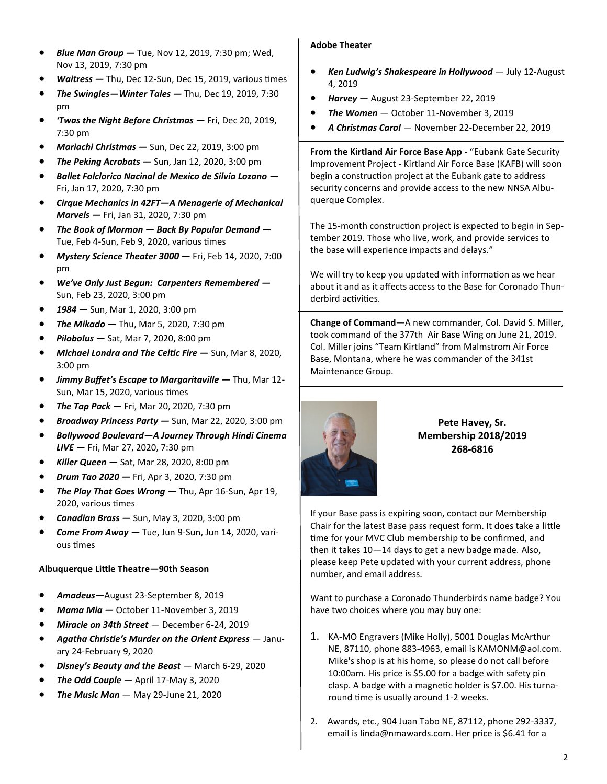- *Blue Man Group —* Tue, Nov 12, 2019, 7:30 pm; Wed, Nov 13, 2019, 7:30 pm
- *Waitress —* Thu, Dec 12-Sun, Dec 15, 2019, various times
- *The Swingles—Winter Tales —* Thu, Dec 19, 2019, 7:30 pm
- *'Twas the Night Before Christmas —* Fri, Dec 20, 2019, 7:30 pm
- *Mariachi Christmas —* Sun, Dec 22, 2019, 3:00 pm
- *The Peking Acrobats —* Sun, Jan 12, 2020, 3:00 pm
- *Ballet Folclorico Nacinal de Mexico de Silvia Lozano —* Fri, Jan 17, 2020, 7:30 pm
- *Cirque Mechanics in 42FT—A Menagerie of Mechanical Marvels —* Fri, Jan 31, 2020, 7:30 pm
- *The Book of Mormon — Back By Popular Demand —* Tue, Feb 4-Sun, Feb 9, 2020, various times
- *Mystery Science Theater 3000 —* Fri, Feb 14, 2020, 7:00 pm
- *We've Only Just Begun: Carpenters Remembered —* Sun, Feb 23, 2020, 3:00 pm
- *1984 —* Sun, Mar 1, 2020, 3:00 pm
- *The Mikado —* Thu, Mar 5, 2020, 7:30 pm
- *Pilobolus —* Sat, Mar 7, 2020, 8:00 pm
- *Michael Londra and The Celtic Fire —* Sun, Mar 8, 2020, 3:00 pm
- *Jimmy Buffet's Escape to Margaritaville —* Thu, Mar 12- Sun, Mar 15, 2020, various times
- *The Tap Pack —* Fri, Mar 20, 2020, 7:30 pm
- *Broadway Princess Party —* Sun, Mar 22, 2020, 3:00 pm
- *Bollywood Boulevard—A Journey Through Hindi Cinema LIVE —* Fri, Mar 27, 2020, 7:30 pm
- *Killer Queen —* Sat, Mar 28, 2020, 8:00 pm
- *Drum Tao 2020 —* Fri, Apr 3, 2020, 7:30 pm
- *The Play That Goes Wrong —* Thu, Apr 16-Sun, Apr 19, 2020, various times
- *Canadian Brass —* Sun, May 3, 2020, 3:00 pm
- *Come From Away —* Tue, Jun 9-Sun, Jun 14, 2020, various times

## **Albuquerque Little Theatre—90th Season**

- *Amadeus—*August 23-September 8, 2019
- *Mama Mia —* October 11-November 3, 2019
- *Miracle on 34th Street* December 6-24, 2019
- *Agatha Christie's Murder on the Orient Express* January 24-February 9, 2020
- *Disney's Beauty and the Beast* March 6-29, 2020
- *The Odd Couple*  April 17-May 3, 2020
- *The Music Man* May 29-June 21, 2020

### **Adobe Theater**

- *Ken Ludwig's Shakespeare in Hollywood* July 12-August 4, 2019
- *Harvey* August 23-September 22, 2019
- *The Women* October 11-November 3, 2019
- *A Christmas Carol* November 22-December 22, 2019

**From the Kirtland Air Force Base App** - "Eubank Gate Security Improvement Project - Kirtland Air Force Base (KAFB) will soon begin a construction project at the Eubank gate to address security concerns and provide access to the new NNSA Albuquerque Complex.

The 15-month construction project is expected to begin in September 2019. Those who live, work, and provide services to the base will experience impacts and delays."

We will try to keep you updated with information as we hear about it and as it affects access to the Base for Coronado Thunderbird activities.

**Change of Command**—A new commander, Col. David S. Miller, took command of the 377th Air Base Wing on June 21, 2019. Col. Miller joins "Team Kirtland" from Malmstrom Air Force Base, Montana, where he was commander of the 341st Maintenance Group.



**Pete Havey, Sr. Membership 2018/2019 268-6816**

If your Base pass is expiring soon, contact our Membership Chair for the latest Base pass request form. It does take a little time for your MVC Club membership to be confirmed, and then it takes 10—14 days to get a new badge made. Also, please keep Pete updated with your current address, phone number, and email address.

Want to purchase a Coronado Thunderbirds name badge? You have two choices where you may buy one:

- 1. KA-MO Engravers (Mike Holly), 5001 Douglas McArthur NE, 87110, phone 883-4963, email is KAMONM@aol.com. Mike's shop is at his home, so please do not call before 10:00am. His price is \$5.00 for a badge with safety pin clasp. A badge with a magnetic holder is \$7.00. His turnaround time is usually around 1-2 weeks.
- 2. Awards, etc., 904 Juan Tabo NE, 87112, phone 292-3337, email is linda@nmawards.com. Her price is \$6.41 for a